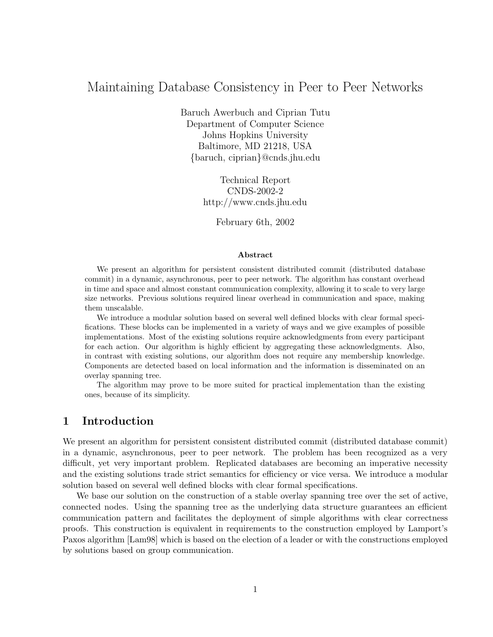# Maintaining Database Consistency in Peer to Peer Networks

Baruch Awerbuch and Ciprian Tutu Department of Computer Science Johns Hopkins University Baltimore, MD 21218, USA {baruch, ciprian}@cnds.jhu.edu

> Technical Report CNDS-2002-2 http://www.cnds.jhu.edu

> > February 6th, 2002

### Abstract

We present an algorithm for persistent consistent distributed commit (distributed database commit) in a dynamic, asynchronous, peer to peer network. The algorithm has constant overhead in time and space and almost constant communication complexity, allowing it to scale to very large size networks. Previous solutions required linear overhead in communication and space, making them unscalable.

We introduce a modular solution based on several well defined blocks with clear formal specifications. These blocks can be implemented in a variety of ways and we give examples of possible implementations. Most of the existing solutions require acknowledgments from every participant for each action. Our algorithm is highly efficient by aggregating these acknowledgments. Also, in contrast with existing solutions, our algorithm does not require any membership knowledge. Components are detected based on local information and the information is disseminated on an overlay spanning tree.

The algorithm may prove to be more suited for practical implementation than the existing ones, because of its simplicity.

# 1 Introduction

We present an algorithm for persistent consistent distributed commit (distributed database commit) in a dynamic, asynchronous, peer to peer network. The problem has been recognized as a very difficult, yet very important problem. Replicated databases are becoming an imperative necessity and the existing solutions trade strict semantics for efficiency or vice versa. We introduce a modular solution based on several well defined blocks with clear formal specifications.

We base our solution on the construction of a stable overlay spanning tree over the set of active, connected nodes. Using the spanning tree as the underlying data structure guarantees an efficient communication pattern and facilitates the deployment of simple algorithms with clear correctness proofs. This construction is equivalent in requirements to the construction employed by Lamport's Paxos algorithm [Lam98] which is based on the election of a leader or with the constructions employed by solutions based on group communication.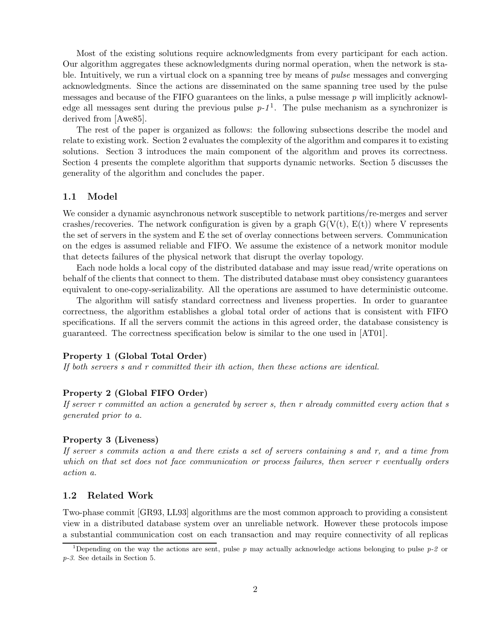Most of the existing solutions require acknowledgments from every participant for each action. Our algorithm aggregates these acknowledgments during normal operation, when the network is stable. Intuitively, we run a virtual clock on a spanning tree by means of *pulse* messages and converging acknowledgments. Since the actions are disseminated on the same spanning tree used by the pulse messages and because of the FIFO guarantees on the links, a pulse message p will implicitly acknowledge all messages sent during the previous pulse  $p-1<sup>1</sup>$ . The pulse mechanism as a synchronizer is derived from [Awe85].

The rest of the paper is organized as follows: the following subsections describe the model and relate to existing work. Section 2 evaluates the complexity of the algorithm and compares it to existing solutions. Section 3 introduces the main component of the algorithm and proves its correctness. Section 4 presents the complete algorithm that supports dynamic networks. Section 5 discusses the generality of the algorithm and concludes the paper.

### 1.1 Model

We consider a dynamic asynchronous network susceptible to network partitions/re-merges and server crashes/recoveries. The network configuration is given by a graph  $G(V(t), E(t))$  where V represents the set of servers in the system and E the set of overlay connections between servers. Communication on the edges is assumed reliable and FIFO. We assume the existence of a network monitor module that detects failures of the physical network that disrupt the overlay topology.

Each node holds a local copy of the distributed database and may issue read/write operations on behalf of the clients that connect to them. The distributed database must obey consistency guarantees equivalent to one-copy-serializability. All the operations are assumed to have deterministic outcome.

The algorithm will satisfy standard correctness and liveness properties. In order to guarantee correctness, the algorithm establishes a global total order of actions that is consistent with FIFO specifications. If all the servers commit the actions in this agreed order, the database consistency is guaranteed. The correctness specification below is similar to the one used in [AT01].

### Property 1 (Global Total Order)

If both servers s and r committed their ith action, then these actions are identical.

### Property 2 (Global FIFO Order)

If server r committed an action a generated by server s, then r already committed every action that s generated prior to a.

#### Property 3 (Liveness)

If server s commits action a and there exists a set of servers containing  $s$  and  $r$ , and a time from which on that set does not face communication or process failures, then server r eventually orders action a.

### 1.2 Related Work

Two-phase commit [GR93, LL93] algorithms are the most common approach to providing a consistent view in a distributed database system over an unreliable network. However these protocols impose a substantial communication cost on each transaction and may require connectivity of all replicas

<sup>&</sup>lt;sup>1</sup>Depending on the way the actions are sent, pulse p may actually acknowledge actions belonging to pulse p-2 or p-3. See details in Section 5.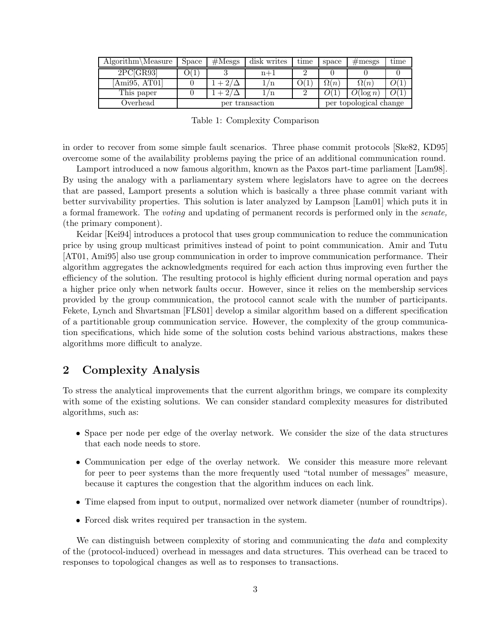| $Algorithm\Measure$ | Space           | $\#\text{Mesgs}$ | disk writes   | time | space                  | $\#\text{mess}$ | $_{\text{time}}$ |
|---------------------|-----------------|------------------|---------------|------|------------------------|-----------------|------------------|
| 2PC[GR93]           |                 |                  | $n+1$         |      |                        |                 |                  |
| [Ami95, AT01]       |                 | $+2/$            | 1/n           | O(1  | $\Omega(n)$            | $\Omega(n)$     |                  |
| This paper          |                 | + 27             | $\frac{1}{n}$ |      |                        | $O(\log n)$     | O(1              |
| Overhead            | per transaction |                  |               |      | per topological change |                 |                  |

Table 1: Complexity Comparison

in order to recover from some simple fault scenarios. Three phase commit protocols [Ske82, KD95] overcome some of the availability problems paying the price of an additional communication round.

Lamport introduced a now famous algorithm, known as the Paxos part-time parliament [Lam98]. By using the analogy with a parliamentary system where legislators have to agree on the decrees that are passed, Lamport presents a solution which is basically a three phase commit variant with better survivability properties. This solution is later analyzed by Lampson [Lam01] which puts it in a formal framework. The voting and updating of permanent records is performed only in the senate, (the primary component).

Keidar [Kei94] introduces a protocol that uses group communication to reduce the communication price by using group multicast primitives instead of point to point communication. Amir and Tutu [AT01, Ami95] also use group communication in order to improve communication performance. Their algorithm aggregates the acknowledgments required for each action thus improving even further the efficiency of the solution. The resulting protocol is highly efficient during normal operation and pays a higher price only when network faults occur. However, since it relies on the membership services provided by the group communication, the protocol cannot scale with the number of participants. Fekete, Lynch and Shvartsman [FLS01] develop a similar algorithm based on a different specification of a partitionable group communication service. However, the complexity of the group communication specifications, which hide some of the solution costs behind various abstractions, makes these algorithms more difficult to analyze.

# 2 Complexity Analysis

To stress the analytical improvements that the current algorithm brings, we compare its complexity with some of the existing solutions. We can consider standard complexity measures for distributed algorithms, such as:

- Space per node per edge of the overlay network. We consider the size of the data structures that each node needs to store.
- Communication per edge of the overlay network. We consider this measure more relevant for peer to peer systems than the more frequently used "total number of messages" measure, because it captures the congestion that the algorithm induces on each link.
- Time elapsed from input to output, normalized over network diameter (number of roundtrips).
- Forced disk writes required per transaction in the system.

We can distinguish between complexity of storing and communicating the *data* and complexity of the (protocol-induced) overhead in messages and data structures. This overhead can be traced to responses to topological changes as well as to responses to transactions.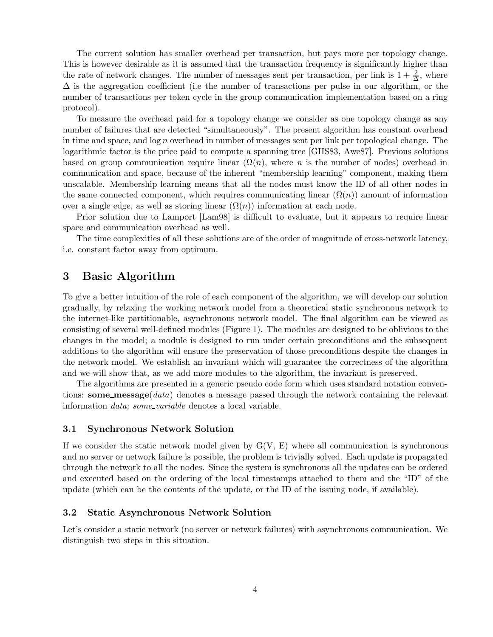The current solution has smaller overhead per transaction, but pays more per topology change. This is however desirable as it is assumed that the transaction frequency is significantly higher than the rate of network changes. The number of messages sent per transaction, per link is  $1 + \frac{2}{\Delta}$ , where  $\Delta$  is the aggregation coefficient (i.e the number of transactions per pulse in our algorithm, or the number of transactions per token cycle in the group communication implementation based on a ring protocol).

To measure the overhead paid for a topology change we consider as one topology change as any number of failures that are detected "simultaneously". The present algorithm has constant overhead in time and space, and  $log n$  overhead in number of messages sent per link per topological change. The logarithmic factor is the price paid to compute a spanning tree [GHS83, Awe87]. Previous solutions based on group communication require linear  $(\Omega(n))$ , where n is the number of nodes) overhead in communication and space, because of the inherent "membership learning" component, making them unscalable. Membership learning means that all the nodes must know the ID of all other nodes in the same connected component, which requires communicating linear  $(\Omega(n))$  amount of information over a single edge, as well as storing linear  $(\Omega(n))$  information at each node.

Prior solution due to Lamport [Lam98] is difficult to evaluate, but it appears to require linear space and communication overhead as well.

The time complexities of all these solutions are of the order of magnitude of cross-network latency, i.e. constant factor away from optimum.

# 3 Basic Algorithm

To give a better intuition of the role of each component of the algorithm, we will develop our solution gradually, by relaxing the working network model from a theoretical static synchronous network to the internet-like partitionable, asynchronous network model. The final algorithm can be viewed as consisting of several well-defined modules (Figure 1). The modules are designed to be oblivious to the changes in the model; a module is designed to run under certain preconditions and the subsequent additions to the algorithm will ensure the preservation of those preconditions despite the changes in the network model. We establish an invariant which will guarantee the correctness of the algorithm and we will show that, as we add more modules to the algorithm, the invariant is preserved.

The algorithms are presented in a generic pseudo code form which uses standard notation conventions: some\_message( $data$ ) denotes a message passed through the network containing the relevant information data; some variable denotes a local variable.

### 3.1 Synchronous Network Solution

If we consider the static network model given by  $G(V, E)$  where all communication is synchronous and no server or network failure is possible, the problem is trivially solved. Each update is propagated through the network to all the nodes. Since the system is synchronous all the updates can be ordered and executed based on the ordering of the local timestamps attached to them and the "ID" of the update (which can be the contents of the update, or the ID of the issuing node, if available).

### 3.2 Static Asynchronous Network Solution

Let's consider a static network (no server or network failures) with asynchronous communication. We distinguish two steps in this situation.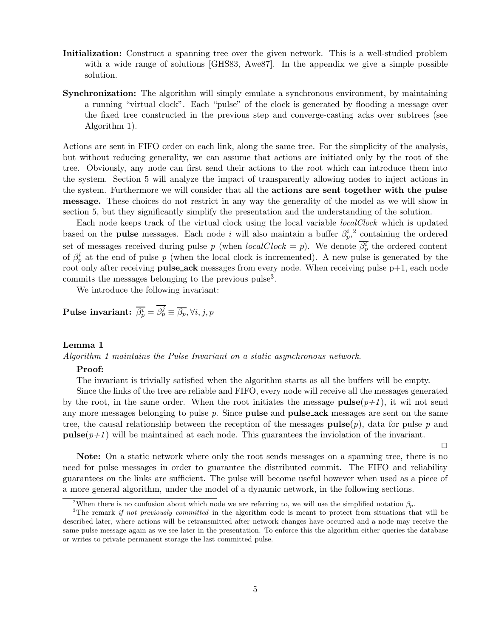- Initialization: Construct a spanning tree over the given network. This is a well-studied problem with a wide range of solutions [GHS83, Awe87]. In the appendix we give a simple possible solution.
- Synchronization: The algorithm will simply emulate a synchronous environment, by maintaining a running "virtual clock". Each "pulse" of the clock is generated by flooding a message over the fixed tree constructed in the previous step and converge-casting acks over subtrees (see Algorithm 1).

Actions are sent in FIFO order on each link, along the same tree. For the simplicity of the analysis, but without reducing generality, we can assume that actions are initiated only by the root of the tree. Obviously, any node can first send their actions to the root which can introduce them into the system. Section 5 will analyze the impact of transparently allowing nodes to inject actions in the system. Furthermore we will consider that all the actions are sent together with the pulse message. These choices do not restrict in any way the generality of the model as we will show in section 5, but they significantly simplify the presentation and the understanding of the solution.

Each node keeps track of the virtual clock using the local variable *localClock* which is updated based on the **pulse** messages. Each node i will also maintain a buffer  $\beta_p^i$  containing the ordered set of messages received during pulse p (when  $localClock = p$ ). We denote  $\beta_p^i$  the ordered content of  $\beta_p^i$  at the end of pulse p (when the local clock is incremented). A new pulse is generated by the root only after receiving **pulse\_ack** messages from every node. When receiving pulse  $p+1$ , each node commits the messages belonging to the previous pulse<sup>3</sup> .

We introduce the following invariant:

**Pulse invariant:** 
$$
\overline{\beta_p^i} = \overline{\beta_p^j} \equiv \overline{\beta_p}
$$
,  $\forall i, j, p$ 

#### Lemma 1

Algorithm 1 maintains the Pulse Invariant on a static asynchronous network.

### Proof:

The invariant is trivially satisfied when the algorithm starts as all the buffers will be empty.

Since the links of the tree are reliable and FIFO, every node will receive all the messages generated by the root, in the same order. When the root initiates the message **pulse** $(p+1)$ , it will not send any more messages belonging to pulse  $p$ . Since **pulse and pulse-ack** messages are sent on the same tree, the causal relationship between the reception of the messages  $pulse(p)$ , data for pulse p and **pulse** $(p+1)$  will be maintained at each node. This guarantees the inviolation of the invariant.

 $\Box$ 

Note: On a static network where only the root sends messages on a spanning tree, there is no need for pulse messages in order to guarantee the distributed commit. The FIFO and reliability guarantees on the links are sufficient. The pulse will become useful however when used as a piece of a more general algorithm, under the model of a dynamic network, in the following sections.

<sup>&</sup>lt;sup>2</sup>When there is no confusion about which node we are referring to, we will use the simplified notation  $\beta_p$ .

<sup>&</sup>lt;sup>3</sup>The remark if not previously committed in the algorithm code is meant to protect from situations that will be described later, where actions will be retransmitted after network changes have occurred and a node may receive the same pulse message again as we see later in the presentation. To enforce this the algorithm either queries the database or writes to private permanent storage the last committed pulse.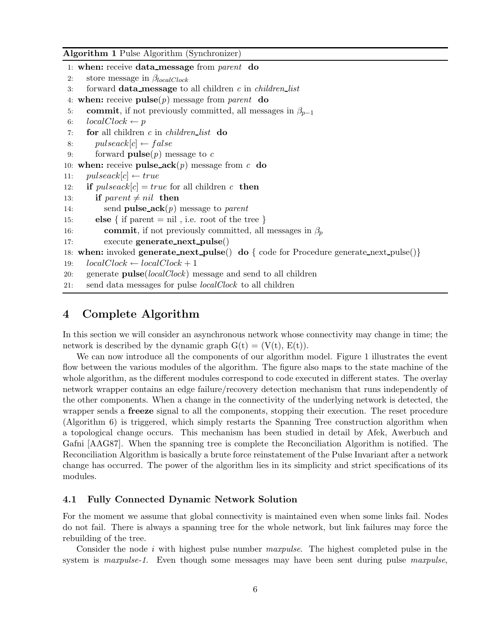Algorithm 1 Pulse Algorithm (Synchronizer)

```
1: when: receive data message from parent do
2: store message in \beta_{localClock}3: forward data_message to all children c in children_list
4: when: receive pulse(p) message from parent do
5: commit, if not previously committed, all messages in \beta_{p-1}6: localClock \leftarrow p7: for all children c in children_list do
8: pulseack[c] \leftarrow false9: forward \mathbf{pulse}(p) message to c
10: when: receive pulse_ack(p) message from c do
11: pulseack[c] \leftarrow true12: if pulseack[c] = true for all children c then
13: if parent \neq nil then
14: send pulse_ack(p) message to parent
15: else { if parent = nil, i.e. root of the tree }
16: commit, if not previously committed, all messages in \beta_n17: execute generate next pulse()
18: when: invoked generate_next_pulse() do \{ \text{ code for Procedure generate\_next\_pulse}(\}19: localClock \leftarrow localClock + 120: generate pulse[localClock] message and send to all children
21: send data messages for pulse localClock to all children
```
## 4 Complete Algorithm

In this section we will consider an asynchronous network whose connectivity may change in time; the network is described by the dynamic graph  $G(t) = (V(t), E(t))$ .

We can now introduce all the components of our algorithm model. Figure 1 illustrates the event flow between the various modules of the algorithm. The figure also maps to the state machine of the whole algorithm, as the different modules correspond to code executed in different states. The overlay network wrapper contains an edge failure/recovery detection mechanism that runs independently of the other components. When a change in the connectivity of the underlying network is detected, the wrapper sends a freeze signal to all the components, stopping their execution. The reset procedure (Algorithm 6) is triggered, which simply restarts the Spanning Tree construction algorithm when a topological change occurs. This mechanism has been studied in detail by Afek, Awerbuch and Gafni [AAG87]. When the spanning tree is complete the Reconciliation Algorithm is notified. The Reconciliation Algorithm is basically a brute force reinstatement of the Pulse Invariant after a network change has occurred. The power of the algorithm lies in its simplicity and strict specifications of its modules.

### 4.1 Fully Connected Dynamic Network Solution

For the moment we assume that global connectivity is maintained even when some links fail. Nodes do not fail. There is always a spanning tree for the whole network, but link failures may force the rebuilding of the tree.

Consider the node i with highest pulse number  $maxpulse$ . The highest completed pulse in the system is *maxpulse-1*. Even though some messages may have been sent during pulse *maxpulse*,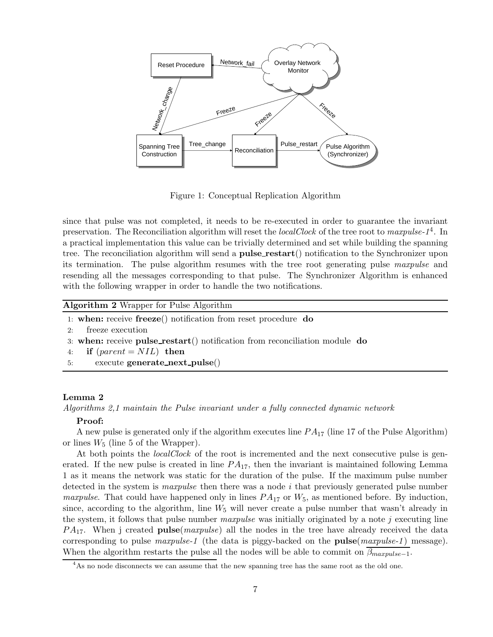

Figure 1: Conceptual Replication Algorithm

since that pulse was not completed, it needs to be re-executed in order to guarantee the invariant preservation. The Reconciliation algorithm will reset the *localClock* of the tree root to maxpulse-1<sup>4</sup>. In a practical implementation this value can be trivially determined and set while building the spanning tree. The reconciliation algorithm will send a **pulse\_restart**() notification to the Synchronizer upon its termination. The pulse algorithm resumes with the tree root generating pulse maxpulse and resending all the messages corresponding to that pulse. The Synchronizer Algorithm is enhanced with the following wrapper in order to handle the two notifications.

#### Algorithm 2 Wrapper for Pulse Algorithm

- 1: when: receive freeze() notification from reset procedure do
- 2: freeze execution
- 3: when: receive pulse\_restart() notification from reconciliation module do

```
4: if parent = NIL then
```
5: execute generate next pulse()

### Lemma 2

Algorithms 2,1 maintain the Pulse invariant under a fully connected dynamic network

### Proof:

A new pulse is generated only if the algorithm executes line  $PA_{17}$  (line 17 of the Pulse Algorithm) or lines  $W_5$  (line 5 of the Wrapper).

At both points the *localClock* of the root is incremented and the next consecutive pulse is generated. If the new pulse is created in line  $PA_{17}$ , then the invariant is maintained following Lemma 1 as it means the network was static for the duration of the pulse. If the maximum pulse number detected in the system is *maxpulse* then there was a node  $i$  that previously generated pulse number *maxpulse.* That could have happened only in lines  $PA_{17}$  or  $W_5$ , as mentioned before. By induction, since, according to the algorithm, line  $W_5$  will never create a pulse number that wasn't already in the system, it follows that pulse number maxpulse was initially originated by a note j executing line  $PA_{17}$ . When j created **pulse**(*maxpulse*) all the nodes in the tree have already received the data corresponding to pulse maxpulse-1 (the data is piggy-backed on the **pulse** $(\textit{maxpulse-1})$  message). When the algorithm restarts the pulse all the nodes will be able to commit on  $\beta_{maxpulse-1}$ .

<sup>&</sup>lt;sup>4</sup>As no node disconnects we can assume that the new spanning tree has the same root as the old one.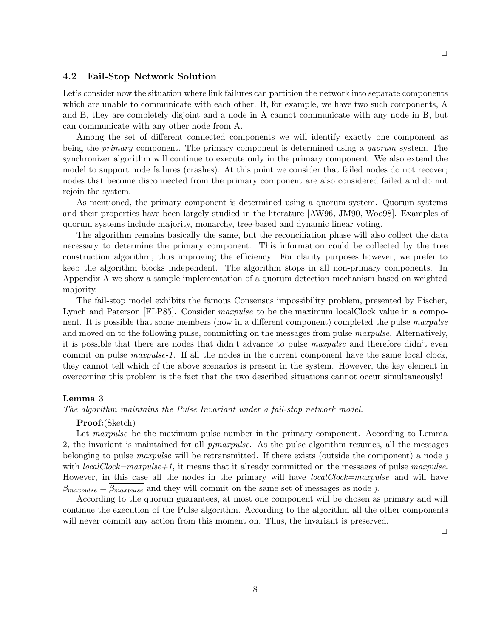### 4.2 Fail-Stop Network Solution

Let's consider now the situation where link failures can partition the network into separate components which are unable to communicate with each other. If, for example, we have two such components, A and B, they are completely disjoint and a node in A cannot communicate with any node in B, but can communicate with any other node from A.

Among the set of different connected components we will identify exactly one component as being the *primary* component. The primary component is determined using a *quorum* system. The synchronizer algorithm will continue to execute only in the primary component. We also extend the model to support node failures (crashes). At this point we consider that failed nodes do not recover; nodes that become disconnected from the primary component are also considered failed and do not rejoin the system.

As mentioned, the primary component is determined using a quorum system. Quorum systems and their properties have been largely studied in the literature [AW96, JM90, Woo98]. Examples of quorum systems include majority, monarchy, tree-based and dynamic linear voting.

The algorithm remains basically the same, but the reconciliation phase will also collect the data necessary to determine the primary component. This information could be collected by the tree construction algorithm, thus improving the efficiency. For clarity purposes however, we prefer to keep the algorithm blocks independent. The algorithm stops in all non-primary components. In Appendix A we show a sample implementation of a quorum detection mechanism based on weighted majority.

The fail-stop model exhibits the famous Consensus impossibility problem, presented by Fischer, Lynch and Paterson [FLP85]. Consider *maxpulse* to be the maximum localClock value in a component. It is possible that some members (now in a different component) completed the pulse maxpulse and moved on to the following pulse, committing on the messages from pulse maxpulse. Alternatively, it is possible that there are nodes that didn't advance to pulse maxpulse and therefore didn't even commit on pulse maxpulse-1. If all the nodes in the current component have the same local clock, they cannot tell which of the above scenarios is present in the system. However, the key element in overcoming this problem is the fact that the two described situations cannot occur simultaneously!

### Lemma 3

#### The algorithm maintains the Pulse Invariant under a fail-stop network model.

#### Proof:(Sketch)

Let *maxpulse* be the maximum pulse number in the primary component. According to Lemma 2, the invariant is maintained for all  $p_jmaxpulse$ . As the pulse algorithm resumes, all the messages belonging to pulse *maxpulse* will be retransmitted. If there exists (outside the component) a node j with  $localClock = maxpulse + 1$ , it means that it already committed on the messages of pulse maxpulse. However, in this case all the nodes in the primary will have *localClock=maxpulse* and will have  $\beta_{maxpulse} = \overline{\beta_{maxpulse}}$  and they will commit on the same set of messages as node j.

According to the quorum guarantees, at most one component will be chosen as primary and will continue the execution of the Pulse algorithm. According to the algorithm all the other components will never commit any action from this moment on. Thus, the invariant is preserved.

 $\Box$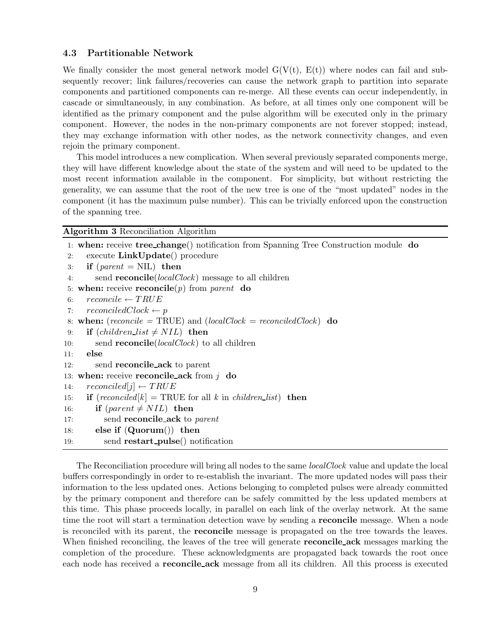### 4.3 Partitionable Network

We finally consider the most general network model  $G(V(t), E(t))$  where nodes can fail and subsequently recover; link failures/recoveries can cause the network graph to partition into separate components and partitioned components can re-merge. All these events can occur independently, in cascade or simultaneously, in any combination. As before, at all times only one component will be identified as the primary component and the pulse algorithm will be executed only in the primary component. However, the nodes in the non-primary components are not forever stopped; instead, they may exchange information with other nodes, as the network connectivity changes, and even rejoin the primary component.

This model introduces a new complication. When several previously separated components merge, they will have different knowledge about the state of the system and will need to be updated to the most recent information available in the component. For simplicity, but without restricting the generality, we can assume that the root of the new tree is one of the "most updated" nodes in the component (it has the maximum pulse number). This can be trivially enforced upon the construction of the spanning tree.

Algorithm 3 Reconciliation Algorithm

```
1: when: receive tree change() notification from Spanning Tree Construction module do
2: execute LinkUpdate() procedure
3: if parent = NIL) then
4: send reconcile(localClock) message to all children
5: when: receive reconcile(p) from parent do
6: reconcile \leftarrow TRUE7: reconciledClock \leftarrow p8: when: (reconcile = TRUE) and (localClock = reconciledClock) do
9: if (children\_list \neq NIL) then
10: send reconcile(localClock) to all children
11: else
12: send reconcile ack to parent
13: when: receive reconcile ack from j do
14: reconciled[j] \leftarrow TRUE15: if (reconciled[k] = \text{TRUE} for all k in children list) then
16: if (parent \neq NIL) then
17: send reconcile_ack to parent
18: else if (Quorum() then
19: send restart_pulse() notification
```
The Reconciliation procedure will bring all nodes to the same *localClock* value and update the local buffers correspondingly in order to re-establish the invariant. The more updated nodes will pass their information to the less updated ones. Actions belonging to completed pulses were already committed by the primary component and therefore can be safely committed by the less updated members at this time. This phase proceeds locally, in parallel on each link of the overlay network. At the same time the root will start a termination detection wave by sending a **reconcile** message. When a node is reconciled with its parent, the reconcile message is propagated on the tree towards the leaves. When finished reconciling, the leaves of the tree will generate **reconcile\_ack** messages marking the completion of the procedure. These acknowledgments are propagated back towards the root once each node has received a **reconcile\_ack** message from all its children. All this process is executed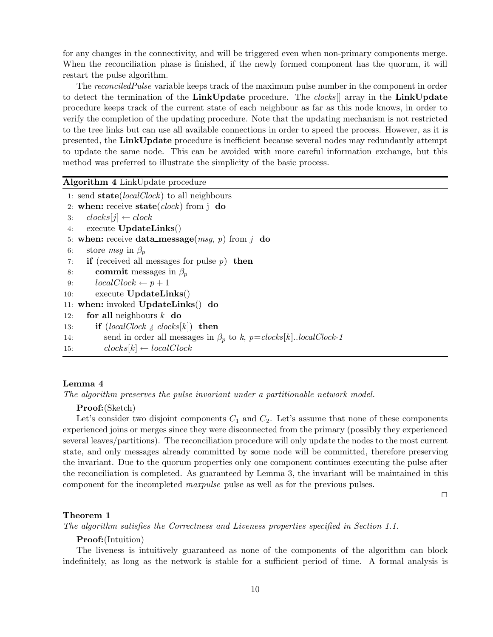for any changes in the connectivity, and will be triggered even when non-primary components merge. When the reconciliation phase is finished, if the newly formed component has the quorum, it will restart the pulse algorithm.

The reconciled Pulse variable keeps track of the maximum pulse number in the component in order to detect the termination of the LinkUpdate procedure. The *clocks*<sup>[]</sup> array in the LinkUpdate procedure keeps track of the current state of each neighbour as far as this node knows, in order to verify the completion of the updating procedure. Note that the updating mechanism is not restricted to the tree links but can use all available connections in order to speed the process. However, as it is presented, the LinkUpdate procedure is inefficient because several nodes may redundantly attempt to update the same node. This can be avoided with more careful information exchange, but this method was preferred to illustrate the simplicity of the basic process.

Algorithm 4 LinkUpdate procedure

1: send state( $localClock$ ) to all neighbours 2: when: receive state( $clock$ ) from j do 3:  $clocks[i] \leftarrow clock$ 4: execute UpdateLinks() 5: when: receive data\_message( $msg, p$ ) from j do 6: store msq in  $\beta_n$ 7: if (received all messages for pulse  $p$ ) then 8: commit messages in  $\beta_p$ 9:  $localClock \leftarrow p+1$ 10: execute UpdateLinks() 11: when: invoked UpdateLinks() do 12: for all neighbours  $k$  do 13: **if**  $(localClock \geq clocks[k])$  **then** 14: send in order all messages in  $\beta_p$  to k,  $p = clocks[k]$ ..localClock-1 15:  $clocks[k] \leftarrow localClock$ 

### Lemma 4

The algorithm preserves the pulse invariant under a partitionable network model.

### Proof:(Sketch)

Let's consider two disjoint components  $C_1$  and  $C_2$ . Let's assume that none of these components experienced joins or merges since they were disconnected from the primary (possibly they experienced several leaves/partitions). The reconciliation procedure will only update the nodes to the most current state, and only messages already committed by some node will be committed, therefore preserving the invariant. Due to the quorum properties only one component continues executing the pulse after the reconciliation is completed. As guaranteed by Lemma 3, the invariant will be maintained in this component for the incompleted maxpulse pulse as well as for the previous pulses.

 $\Box$ 

#### Theorem 1

The algorithm satisfies the Correctness and Liveness properties specified in Section 1.1.

### Proof:(Intuition)

The liveness is intuitively guaranteed as none of the components of the algorithm can block indefinitely, as long as the network is stable for a sufficient period of time. A formal analysis is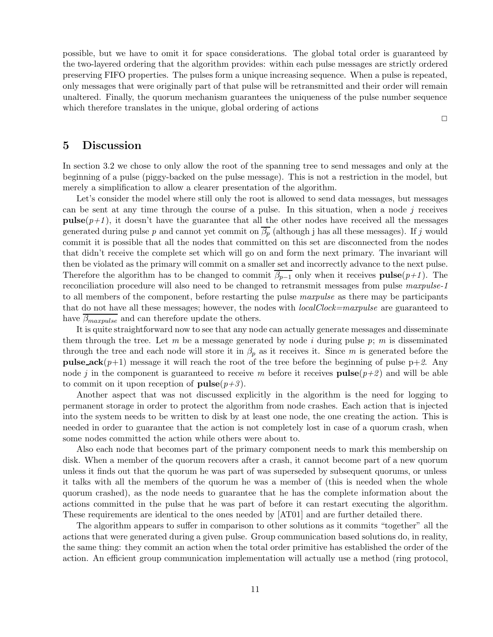possible, but we have to omit it for space considerations. The global total order is guaranteed by the two-layered ordering that the algorithm provides: within each pulse messages are strictly ordered preserving FIFO properties. The pulses form a unique increasing sequence. When a pulse is repeated, only messages that were originally part of that pulse will be retransmitted and their order will remain unaltered. Finally, the quorum mechanism guarantees the uniqueness of the pulse number sequence which therefore translates in the unique, global ordering of actions

 $\Box$ 

# 5 Discussion

In section 3.2 we chose to only allow the root of the spanning tree to send messages and only at the beginning of a pulse (piggy-backed on the pulse message). This is not a restriction in the model, but merely a simplification to allow a clearer presentation of the algorithm.

Let's consider the model where still only the root is allowed to send data messages, but messages can be sent at any time through the course of a pulse. In this situation, when a node  $i$  receives **pulse** $(p+1)$ , it doesn't have the guarantee that all the other nodes have received all the messages generated during pulse p and cannot yet commit on  $\overline{\beta_p}$  (although j has all these messages). If j would commit it is possible that all the nodes that committed on this set are disconnected from the nodes that didn't receive the complete set which will go on and form the next primary. The invariant will then be violated as the primary will commit on a smaller set and incorrectly advance to the next pulse. Therefore the algorithm has to be changed to commit  $\beta_{p-1}$  only when it receives **pulse** $(p+1)$ . The reconciliation procedure will also need to be changed to retransmit messages from pulse maxpulse-1 to all members of the component, before restarting the pulse *maxpulse* as there may be participants that do not have all these messages; however, the nodes with *localClock=maxpulse* are guaranteed to have  $\overline{\beta_{maxpulse}}$  and can therefore update the others.

It is quite straightforward now to see that any node can actually generate messages and disseminate them through the tree. Let m be a message generated by node i during pulse  $p$ ; m is disseminated through the tree and each node will store it in  $\beta_p$  as it receives it. Since m is generated before the **pulse\_ack**( $p+1$ ) message it will reach the root of the tree before the beginning of pulse  $p+2$ . Any node j in the component is guaranteed to receive m before it receives  $\mathbf{pulse}(p+\mathcal{Z})$  and will be able to commit on it upon reception of  $pulse(p+3)$ .

Another aspect that was not discussed explicitly in the algorithm is the need for logging to permanent storage in order to protect the algorithm from node crashes. Each action that is injected into the system needs to be written to disk by at least one node, the one creating the action. This is needed in order to guarantee that the action is not completely lost in case of a quorum crash, when some nodes committed the action while others were about to.

Also each node that becomes part of the primary component needs to mark this membership on disk. When a member of the quorum recovers after a crash, it cannot become part of a new quorum unless it finds out that the quorum he was part of was superseded by subsequent quorums, or unless it talks with all the members of the quorum he was a member of (this is needed when the whole quorum crashed), as the node needs to guarantee that he has the complete information about the actions committed in the pulse that he was part of before it can restart executing the algorithm. These requirements are identical to the ones needed by [AT01] and are further detailed there.

The algorithm appears to suffer in comparison to other solutions as it commits "together" all the actions that were generated during a given pulse. Group communication based solutions do, in reality, the same thing: they commit an action when the total order primitive has established the order of the action. An efficient group communication implementation will actually use a method (ring protocol,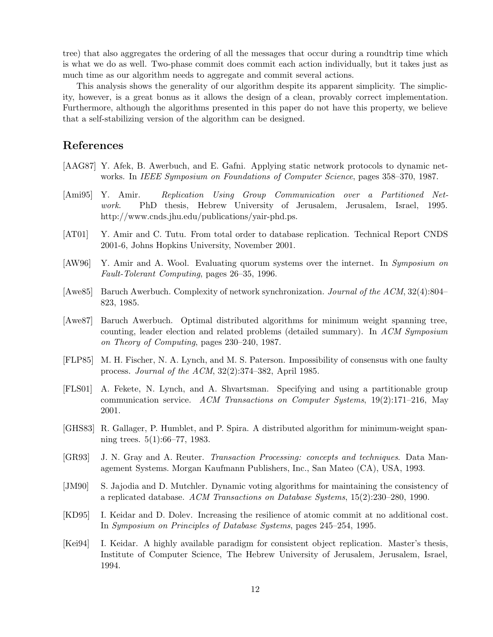tree) that also aggregates the ordering of all the messages that occur during a roundtrip time which is what we do as well. Two-phase commit does commit each action individually, but it takes just as much time as our algorithm needs to aggregate and commit several actions.

This analysis shows the generality of our algorithm despite its apparent simplicity. The simplicity, however, is a great bonus as it allows the design of a clean, provably correct implementation. Furthermore, although the algorithms presented in this paper do not have this property, we believe that a self-stabilizing version of the algorithm can be designed.

# References

- [AAG87] Y. Afek, B. Awerbuch, and E. Gafni. Applying static network protocols to dynamic networks. In IEEE Symposium on Foundations of Computer Science, pages 358–370, 1987.
- [Ami95] Y. Amir. Replication Using Group Communication over a Partitioned Network. PhD thesis, Hebrew University of Jerusalem, Jerusalem, Israel, 1995. http://www.cnds.jhu.edu/publications/yair-phd.ps.
- [AT01] Y. Amir and C. Tutu. From total order to database replication. Technical Report CNDS 2001-6, Johns Hopkins University, November 2001.
- [AW96] Y. Amir and A. Wool. Evaluating quorum systems over the internet. In Symposium on Fault-Tolerant Computing, pages 26–35, 1996.
- [Awe85] Baruch Awerbuch. Complexity of network synchronization. Journal of the ACM, 32(4):804– 823, 1985.
- [Awe87] Baruch Awerbuch. Optimal distributed algorithms for minimum weight spanning tree, counting, leader election and related problems (detailed summary). In ACM Symposium on Theory of Computing, pages 230–240, 1987.
- [FLP85] M. H. Fischer, N. A. Lynch, and M. S. Paterson. Impossibility of consensus with one faulty process. Journal of the ACM, 32(2):374–382, April 1985.
- [FLS01] A. Fekete, N. Lynch, and A. Shvartsman. Specifying and using a partitionable group communication service. ACM Transactions on Computer Systems,  $19(2):171-216$ , May 2001.
- [GHS83] R. Gallager, P. Humblet, and P. Spira. A distributed algorithm for minimum-weight spanning trees. 5(1):66–77, 1983.
- [GR93] J. N. Gray and A. Reuter. Transaction Processing: concepts and techniques. Data Management Systems. Morgan Kaufmann Publishers, Inc., San Mateo (CA), USA, 1993.
- [JM90] S. Jajodia and D. Mutchler. Dynamic voting algorithms for maintaining the consistency of a replicated database. ACM Transactions on Database Systems, 15(2):230–280, 1990.
- [KD95] I. Keidar and D. Dolev. Increasing the resilience of atomic commit at no additional cost. In Symposium on Principles of Database Systems, pages 245–254, 1995.
- [Kei94] I. Keidar. A highly available paradigm for consistent object replication. Master's thesis, Institute of Computer Science, The Hebrew University of Jerusalem, Jerusalem, Israel, 1994.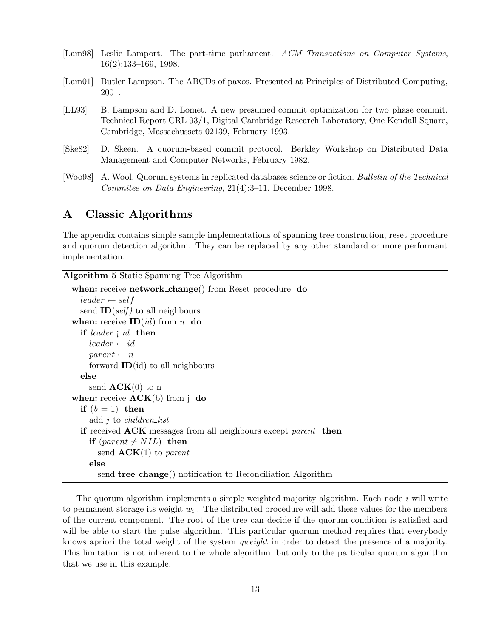- [Lam98] Leslie Lamport. The part-time parliament. ACM Transactions on Computer Systems, 16(2):133–169, 1998.
- [Lam01] Butler Lampson. The ABCDs of paxos. Presented at Principles of Distributed Computing, 2001.
- [LL93] B. Lampson and D. Lomet. A new presumed commit optimization for two phase commit. Technical Report CRL 93/1, Digital Cambridge Research Laboratory, One Kendall Square, Cambridge, Massachussets 02139, February 1993.
- [Ske82] D. Skeen. A quorum-based commit protocol. Berkley Workshop on Distributed Data Management and Computer Networks, February 1982.
- [Woo98] A. Wool. Quorum systems in replicated databases science or fiction. Bulletin of the Technical Commitee on Data Engineering, 21(4):3–11, December 1998.

# A Classic Algorithms

The appendix contains simple sample implementations of spanning tree construction, reset procedure and quorum detection algorithm. They can be replaced by any other standard or more performant implementation.

### Algorithm 5 Static Spanning Tree Algorithm

```
when: receive network_change() from Reset procedure do
  leader \leftarrow selfsend ID(self) to all neighbours
when: receive ID(id) from n do
  if leader i id then
    leader \leftarrow idparent \leftarrow nforward ID(id) to all neighbours
  else
    send ACK(0) to n
when: receive ACK(b) from j do
  if (b = 1) then
    add i to children_list
  if received ACK messages from all neighbours except parent then
    if (parent \neq NIL) then
      send ACK(1) to parent
    else
      send tree change() notification to Reconciliation Algorithm
```
The quorum algorithm implements a simple weighted majority algorithm. Each node  $i$  will write to permanent storage its weight  $w_i$ . The distributed procedure will add these values for the members of the current component. The root of the tree can decide if the quorum condition is satisfied and will be able to start the pulse algorithm. This particular quorum method requires that everybody knows apriori the total weight of the system qweight in order to detect the presence of a majority. This limitation is not inherent to the whole algorithm, but only to the particular quorum algorithm that we use in this example.